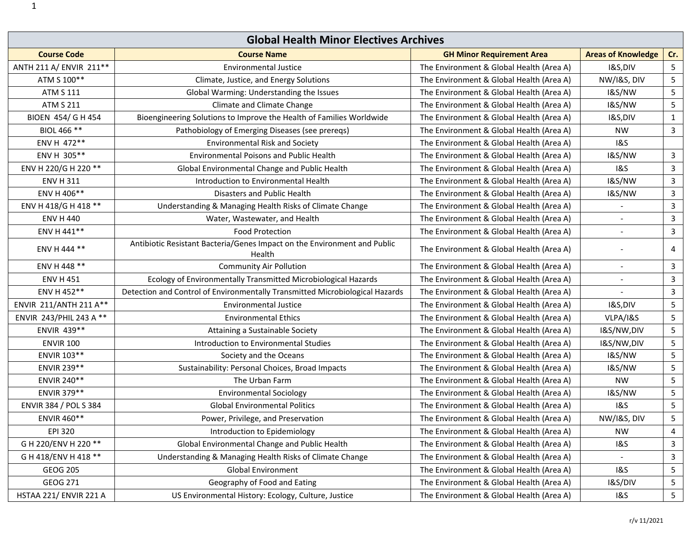| <b>Global Health Minor Electives Archives</b> |                                                                                    |                                          |                           |                         |
|-----------------------------------------------|------------------------------------------------------------------------------------|------------------------------------------|---------------------------|-------------------------|
| <b>Course Code</b>                            | <b>Course Name</b>                                                                 | <b>GH Minor Requirement Area</b>         | <b>Areas of Knowledge</b> | Cr.                     |
| ANTH 211 A/ ENVIR 211 **                      | <b>Environmental Justice</b>                                                       | The Environment & Global Health (Area A) | I&S,DIV                   | $5\phantom{.0}$         |
| ATM S 100**                                   | Climate, Justice, and Energy Solutions                                             | The Environment & Global Health (Area A) | NW/I&S, DIV               | $\overline{5}$          |
| <b>ATM S 111</b>                              | Global Warming: Understanding the Issues                                           | The Environment & Global Health (Area A) | <b>1&amp;S/NW</b>         | $5\phantom{.0}$         |
| <b>ATM S 211</b>                              | Climate and Climate Change                                                         | The Environment & Global Health (Area A) | <b>1&amp;S/NW</b>         | $5\phantom{.0}$         |
| BIOEN 454/ G H 454                            | Bioengineering Solutions to Improve the Health of Families Worldwide               | The Environment & Global Health (Area A) | I&S,DIV                   | $\mathbf{1}$            |
| BIOL 466 **                                   | Pathobiology of Emerging Diseases (see prereqs)                                    | The Environment & Global Health (Area A) | <b>NW</b>                 | $\overline{3}$          |
| ENV H 472**                                   | <b>Environmental Risk and Society</b>                                              | The Environment & Global Health (Area A) | <b>1&amp;S</b>            |                         |
| ENV H 305**                                   | <b>Environmental Poisons and Public Health</b>                                     | The Environment & Global Health (Area A) | <b>1&amp;S/NW</b>         | $\mathbf{3}$            |
| ENV H 220/G H 220 **                          | Global Environmental Change and Public Health                                      | The Environment & Global Health (Area A) | <b>1&amp;S</b>            | $\mathbf{3}$            |
| <b>ENV H 311</b>                              | Introduction to Environmental Health                                               | The Environment & Global Health (Area A) | <b>1&amp;S/NW</b>         | $\mathbf{3}$            |
| ENV H 406**                                   | <b>Disasters and Public Health</b>                                                 | The Environment & Global Health (Area A) | <b>1&amp;S/NW</b>         | $\mathbf{3}$            |
| ENV H 418/G H 418 **                          | Understanding & Managing Health Risks of Climate Change                            | The Environment & Global Health (Area A) |                           | $\mathbf{3}$            |
| <b>ENV H 440</b>                              | Water, Wastewater, and Health                                                      | The Environment & Global Health (Area A) |                           | $\overline{3}$          |
| ENV H 441**                                   | <b>Food Protection</b>                                                             | The Environment & Global Health (Area A) |                           | $\mathbf{3}$            |
| ENV H 444 **                                  | Antibiotic Resistant Bacteria/Genes Impact on the Environment and Public<br>Health | The Environment & Global Health (Area A) |                           | 4                       |
| ENV H 448 **                                  | <b>Community Air Pollution</b>                                                     | The Environment & Global Health (Area A) | $\sim$                    | $\mathbf{3}$            |
| <b>ENV H 451</b>                              | Ecology of Environmentally Transmitted Microbiological Hazards                     | The Environment & Global Health (Area A) |                           | $\mathbf{3}$            |
| ENV H 452**                                   | Detection and Control of Environmentally Transmitted Microbiological Hazards       | The Environment & Global Health (Area A) |                           | $\mathbf{3}$            |
| ENVIR 211/ANTH 211 A**                        | <b>Environmental Justice</b>                                                       | The Environment & Global Health (Area A) | I&S,DIV                   | $\overline{\mathbf{5}}$ |
| ENVIR 243/PHIL 243 A **                       | <b>Environmental Ethics</b>                                                        | The Environment & Global Health (Area A) | VLPA/I&S                  | $\overline{\mathbf{5}}$ |
| ENVIR 439**                                   | Attaining a Sustainable Society                                                    | The Environment & Global Health (Area A) | I&S/NW,DIV                | $5\phantom{.0}$         |
| <b>ENVIR 100</b>                              | Introduction to Environmental Studies                                              | The Environment & Global Health (Area A) | I&S/NW,DIV                | $\overline{5}$          |
| ENVIR 103**                                   | Society and the Oceans                                                             | The Environment & Global Health (Area A) | <b>1&amp;S/NW</b>         | $\overline{5}$          |
| ENVIR 239**                                   | Sustainability: Personal Choices, Broad Impacts                                    | The Environment & Global Health (Area A) | <b>1&amp;S/NW</b>         | $\overline{\mathbf{5}}$ |
| ENVIR 240**                                   | The Urban Farm                                                                     | The Environment & Global Health (Area A) | <b>NW</b>                 | $\overline{5}$          |
| ENVIR 379**                                   | <b>Environmental Sociology</b>                                                     | The Environment & Global Health (Area A) | <b>1&amp;S/NW</b>         | $5\phantom{.0}$         |
| ENVIR 384 / POL S 384                         | <b>Global Environmental Politics</b>                                               | The Environment & Global Health (Area A) | <b>1&amp;S</b>            | 5                       |
| ENVIR 460**                                   | Power, Privilege, and Preservation                                                 | The Environment & Global Health (Area A) | NW/I&S, DIV               | $5\phantom{.0}$         |
| <b>EPI 320</b>                                | Introduction to Epidemiology                                                       | The Environment & Global Health (Area A) | <b>NW</b>                 | 4                       |
| G H 220/ENV H 220 **                          | Global Environmental Change and Public Health                                      | The Environment & Global Health (Area A) | <b>1&amp;S</b>            | $\mathbf{3}$            |
| G H 418/ENV H 418 **                          | Understanding & Managing Health Risks of Climate Change                            | The Environment & Global Health (Area A) |                           | 3                       |
| <b>GEOG 205</b>                               | <b>Global Environment</b>                                                          | The Environment & Global Health (Area A) | <b>1&amp;S</b>            | 5                       |
| GEOG 271                                      | Geography of Food and Eating                                                       | The Environment & Global Health (Area A) | I&S/DIV                   | 5                       |
| HSTAA 221/ ENVIR 221 A                        | US Environmental History: Ecology, Culture, Justice                                | The Environment & Global Health (Area A) | <b>1&amp;S</b>            | $5\overline{)}$         |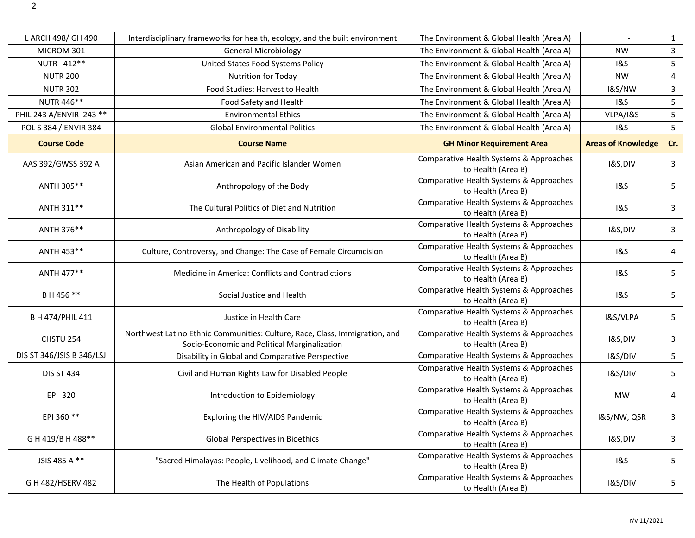| L ARCH 498/ GH 490        | Interdisciplinary frameworks for health, ecology, and the built environment                                                 | The Environment & Global Health (Area A)                      |                           | $\mathbf{1}$    |
|---------------------------|-----------------------------------------------------------------------------------------------------------------------------|---------------------------------------------------------------|---------------------------|-----------------|
| MICROM 301                | <b>General Microbiology</b>                                                                                                 | The Environment & Global Health (Area A)                      | <b>NW</b>                 | $\mathsf{3}$    |
| NUTR 412**                | United States Food Systems Policy                                                                                           | The Environment & Global Health (Area A)                      | 1&S                       | $\overline{5}$  |
| <b>NUTR 200</b>           | <b>Nutrition for Today</b>                                                                                                  | The Environment & Global Health (Area A)                      | <b>NW</b>                 | 4               |
| <b>NUTR 302</b>           | Food Studies: Harvest to Health                                                                                             | The Environment & Global Health (Area A)                      | <b>I&amp;S/NW</b>         | $\mathbf{3}$    |
| NUTR 446**                | Food Safety and Health                                                                                                      | The Environment & Global Health (Area A)                      | <b>1&amp;S</b>            | $\overline{5}$  |
| PHIL 243 A/ENVIR 243 **   | <b>Environmental Ethics</b>                                                                                                 | The Environment & Global Health (Area A)                      | VLPA/I&S                  | 5               |
| POL S 384 / ENVIR 384     | <b>Global Environmental Politics</b>                                                                                        | The Environment & Global Health (Area A)                      | <b>1&amp;S</b>            | $5\phantom{.0}$ |
| <b>Course Code</b>        | <b>Course Name</b>                                                                                                          | <b>GH Minor Requirement Area</b>                              | <b>Areas of Knowledge</b> | Cr.             |
| AAS 392/GWSS 392 A        | Asian American and Pacific Islander Women                                                                                   | Comparative Health Systems & Approaches<br>to Health (Area B) | I&S,DIV                   | $\mathbf{3}$    |
| ANTH 305**                | Anthropology of the Body                                                                                                    | Comparative Health Systems & Approaches<br>to Health (Area B) | <b>1&amp;S</b>            | 5               |
| ANTH 311**                | The Cultural Politics of Diet and Nutrition                                                                                 | Comparative Health Systems & Approaches<br>to Health (Area B) | <b>1&amp;S</b>            | $\mathbf{3}$    |
| ANTH 376**                | Anthropology of Disability                                                                                                  | Comparative Health Systems & Approaches<br>to Health (Area B) | I&S,DIV                   | $\mathbf{3}$    |
| ANTH 453**                | Culture, Controversy, and Change: The Case of Female Circumcision                                                           | Comparative Health Systems & Approaches<br>to Health (Area B) | <b>1&amp;S</b>            | 4               |
| ANTH 477**                | Medicine in America: Conflicts and Contradictions                                                                           | Comparative Health Systems & Approaches<br>to Health (Area B) | 1&S                       | 5               |
| B H 456 **                | Social Justice and Health                                                                                                   | Comparative Health Systems & Approaches<br>to Health (Area B) | <b>1&amp;S</b>            | $\overline{5}$  |
| B H 474/PHIL 411          | Justice in Health Care                                                                                                      | Comparative Health Systems & Approaches<br>to Health (Area B) | I&S/VLPA                  | 5               |
| CHSTU 254                 | Northwest Latino Ethnic Communities: Culture, Race, Class, Immigration, and<br>Socio-Economic and Political Marginalization | Comparative Health Systems & Approaches<br>to Health (Area B) | I&S,DIV                   | 3               |
| DIS ST 346/JSIS B 346/LSJ | Disability in Global and Comparative Perspective                                                                            | Comparative Health Systems & Approaches                       | I&S/DIV                   | $\overline{5}$  |
| <b>DIS ST 434</b>         | Civil and Human Rights Law for Disabled People                                                                              | Comparative Health Systems & Approaches<br>to Health (Area B) | I&S/DIV                   | 5               |
| EPI 320                   | Introduction to Epidemiology                                                                                                | Comparative Health Systems & Approaches<br>to Health (Area B) | MW                        | 4               |
| EPI 360 **                | Exploring the HIV/AIDS Pandemic                                                                                             | Comparative Health Systems & Approaches<br>to Health (Area B) | I&S/NW, QSR               | $\mathbf{3}$    |
| G H 419/B H 488**         | Global Perspectives in Bioethics                                                                                            | Comparative Health Systems & Approaches<br>to Health (Area B) | I&S,DIV                   | $\mathbf{3}$    |
| JSIS 485 A **             | "Sacred Himalayas: People, Livelihood, and Climate Change"                                                                  | Comparative Health Systems & Approaches<br>to Health (Area B) | <b>1&amp;S</b>            | 5               |
| G H 482/HSERV 482         | The Health of Populations                                                                                                   | Comparative Health Systems & Approaches<br>to Health (Area B) | I&S/DIV                   | 5               |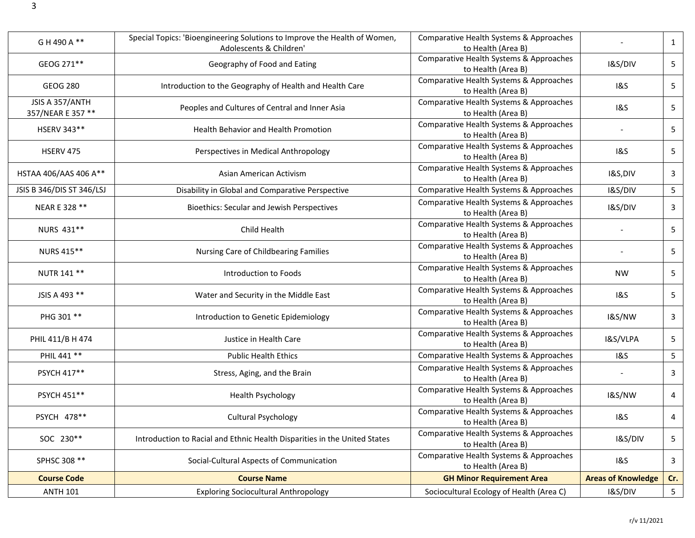| G H 490 A **                         | Special Topics: 'Bioengineering Solutions to Improve the Health of Women,<br>Adolescents & Children' | Comparative Health Systems & Approaches<br>to Health (Area B) |                           | $\mathbf{1}$    |
|--------------------------------------|------------------------------------------------------------------------------------------------------|---------------------------------------------------------------|---------------------------|-----------------|
| GEOG 271**                           | Geography of Food and Eating                                                                         | Comparative Health Systems & Approaches<br>to Health (Area B) | I&S/DIV                   | 5               |
| <b>GEOG 280</b>                      | Introduction to the Geography of Health and Health Care                                              | Comparative Health Systems & Approaches<br>to Health (Area B) | 1&S                       | 5               |
| JSIS A 357/ANTH<br>357/NEAR E 357 ** | Peoples and Cultures of Central and Inner Asia                                                       | Comparative Health Systems & Approaches<br>to Health (Area B) | 1&S                       | 5               |
| HSERV 343**                          | Health Behavior and Health Promotion                                                                 | Comparative Health Systems & Approaches<br>to Health (Area B) |                           | 5               |
| <b>HSERV 475</b>                     | Perspectives in Medical Anthropology                                                                 | Comparative Health Systems & Approaches<br>to Health (Area B) | <b>1&amp;S</b>            | 5               |
| HSTAA 406/AAS 406 A**                | Asian American Activism                                                                              | Comparative Health Systems & Approaches<br>to Health (Area B) | I&S,DIV                   | $\mathsf{3}$    |
| JSIS B 346/DIS ST 346/LSJ            | Disability in Global and Comparative Perspective                                                     | Comparative Health Systems & Approaches                       | I&S/DIV                   | 5 <sub>1</sub>  |
| NEAR E 328 **                        | <b>Bioethics: Secular and Jewish Perspectives</b>                                                    | Comparative Health Systems & Approaches<br>to Health (Area B) | I&S/DIV                   | 3               |
| NURS 431**                           | Child Health                                                                                         | Comparative Health Systems & Approaches<br>to Health (Area B) |                           | 5               |
| NURS 415**                           | Nursing Care of Childbearing Families                                                                | Comparative Health Systems & Approaches<br>to Health (Area B) |                           | 5               |
| NUTR 141 **                          | Introduction to Foods                                                                                | Comparative Health Systems & Approaches<br>to Health (Area B) | <b>NW</b>                 | 5               |
| JSIS A 493 **                        | Water and Security in the Middle East                                                                | Comparative Health Systems & Approaches<br>to Health (Area B) | <b>1&amp;S</b>            | 5               |
| PHG 301 **                           | Introduction to Genetic Epidemiology                                                                 | Comparative Health Systems & Approaches<br>to Health (Area B) | <b>1&amp;S/NW</b>         | $\mathbf{3}$    |
| PHIL 411/B H 474                     | Justice in Health Care                                                                               | Comparative Health Systems & Approaches<br>to Health (Area B) | I&S/VLPA                  | 5               |
| PHIL 441 **                          | <b>Public Health Ethics</b>                                                                          | Comparative Health Systems & Approaches                       | <b>1&amp;S</b>            | $5\phantom{.0}$ |
| PSYCH 417**                          | Stress, Aging, and the Brain                                                                         | Comparative Health Systems & Approaches<br>to Health (Area B) |                           | $\mathbf{3}$    |
| PSYCH 451**                          | <b>Health Psychology</b>                                                                             | Comparative Health Systems & Approaches<br>to Health (Area B) | <b>1&amp;S/NW</b>         | 4               |
| PSYCH 478**                          | <b>Cultural Psychology</b>                                                                           | Comparative Health Systems & Approaches<br>to Health (Area B) | <b>1&amp;S</b>            | 4               |
| SOC 230**                            | Introduction to Racial and Ethnic Health Disparities in the United States                            | Comparative Health Systems & Approaches<br>to Health (Area B) | I&S/DIV                   | 5               |
| SPHSC 308 **                         | Social-Cultural Aspects of Communication                                                             | Comparative Health Systems & Approaches<br>to Health (Area B) | <b>1&amp;S</b>            | 3               |
| <b>Course Code</b>                   | <b>Course Name</b>                                                                                   | <b>GH Minor Requirement Area</b>                              | <b>Areas of Knowledge</b> | Cr.             |
| <b>ANTH 101</b>                      | <b>Exploring Sociocultural Anthropology</b>                                                          | Sociocultural Ecology of Health (Area C)                      | I&S/DIV                   | $5\overline{)}$ |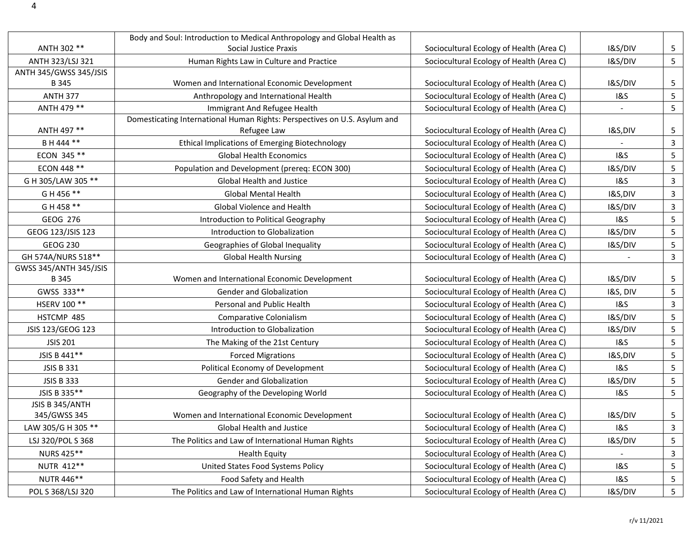|                               | Body and Soul: Introduction to Medical Anthropology and Global Health as  |                                          |                    |                 |
|-------------------------------|---------------------------------------------------------------------------|------------------------------------------|--------------------|-----------------|
| ANTH 302 **                   | <b>Social Justice Praxis</b>                                              | Sociocultural Ecology of Health (Area C) | I&S/DIV            | 5               |
| ANTH 323/LSJ 321              | Human Rights Law in Culture and Practice                                  | Sociocultural Ecology of Health (Area C) | I&S/DIV            | 5               |
| ANTH 345/GWSS 345/JSIS        |                                                                           |                                          |                    |                 |
| B 345                         | Women and International Economic Development                              | Sociocultural Ecology of Health (Area C) | I&S/DIV            | 5               |
| <b>ANTH 377</b>               | Anthropology and International Health                                     | Sociocultural Ecology of Health (Area C) | <b>1&amp;S</b>     | 5               |
| ANTH 479 **                   | Immigrant And Refugee Health                                              | Sociocultural Ecology of Health (Area C) |                    | $5\phantom{.0}$ |
|                               | Domesticating International Human Rights: Perspectives on U.S. Asylum and |                                          |                    |                 |
| ANTH 497 **                   | Refugee Law                                                               | Sociocultural Ecology of Health (Area C) | <b>I&amp;S,DIV</b> | 5               |
| B H 444 **                    | <b>Ethical Implications of Emerging Biotechnology</b>                     | Sociocultural Ecology of Health (Area C) |                    | 3               |
| ECON 345 **                   | <b>Global Health Economics</b>                                            | Sociocultural Ecology of Health (Area C) | <b>1&amp;S</b>     | 5               |
| ECON 448 **                   | Population and Development (prereq: ECON 300)                             | Sociocultural Ecology of Health (Area C) | I&S/DIV            | 5               |
| G H 305/LAW 305 **            | Global Health and Justice                                                 | Sociocultural Ecology of Health (Area C) | <b>1&amp;S</b>     | 3               |
| G H 456 **                    | <b>Global Mental Health</b>                                               | Sociocultural Ecology of Health (Area C) | I&S,DIV            | $\mathbf{3}$    |
| G H 458 **                    | Global Violence and Health                                                | Sociocultural Ecology of Health (Area C) | I&S/DIV            | 3               |
| GEOG 276                      | Introduction to Political Geography                                       | Sociocultural Ecology of Health (Area C) | <b>1&amp;S</b>     | 5               |
| GEOG 123/JSIS 123             | Introduction to Globalization                                             | Sociocultural Ecology of Health (Area C) | I&S/DIV            | 5               |
| <b>GEOG 230</b>               | Geographies of Global Inequality                                          | Sociocultural Ecology of Health (Area C) | I&S/DIV            | 5               |
| GH 574A/NURS 518**            | <b>Global Health Nursing</b>                                              | Sociocultural Ecology of Health (Area C) |                    | 3               |
| <b>GWSS 345/ANTH 345/JSIS</b> |                                                                           |                                          |                    |                 |
| B 345                         | Women and International Economic Development                              | Sociocultural Ecology of Health (Area C) | I&S/DIV            | 5               |
| GWSS 333**                    | Gender and Globalization                                                  | Sociocultural Ecology of Health (Area C) | I&S, DIV           | 5               |
| HSERV 100 **                  | Personal and Public Health                                                | Sociocultural Ecology of Health (Area C) | <b>1&amp;S</b>     | 3               |
| HSTCMP 485                    | Comparative Colonialism                                                   | Sociocultural Ecology of Health (Area C) | I&S/DIV            | 5               |
| JSIS 123/GEOG 123             | Introduction to Globalization                                             | Sociocultural Ecology of Health (Area C) | I&S/DIV            | 5               |
| <b>JSIS 201</b>               | The Making of the 21st Century                                            | Sociocultural Ecology of Health (Area C) | 1&S                | 5               |
| JSIS B 441**                  | <b>Forced Migrations</b>                                                  | Sociocultural Ecology of Health (Area C) | I&S,DIV            | 5               |
| <b>JSIS B 331</b>             | Political Economy of Development                                          | Sociocultural Ecology of Health (Area C) | <b>1&amp;S</b>     | 5               |
| <b>JSIS B 333</b>             | <b>Gender and Globalization</b>                                           | Sociocultural Ecology of Health (Area C) | I&S/DIV            | 5               |
| JSIS B 335**                  | Geography of the Developing World                                         | Sociocultural Ecology of Health (Area C) | 1&S                | 5               |
| JSIS B 345/ANTH               |                                                                           |                                          |                    |                 |
| 345/GWSS 345                  | Women and International Economic Development                              | Sociocultural Ecology of Health (Area C) | I&S/DIV            | 5 <sub>1</sub>  |
| LAW 305/G H 305 **            | Global Health and Justice                                                 | Sociocultural Ecology of Health (Area C) | 18S                | 3               |
| LSJ 320/POL S 368             | The Politics and Law of International Human Rights                        | Sociocultural Ecology of Health (Area C) | I&S/DIV            | 5               |
| NURS 425**                    | <b>Health Equity</b>                                                      | Sociocultural Ecology of Health (Area C) |                    | 3               |
| NUTR 412**                    | United States Food Systems Policy                                         | Sociocultural Ecology of Health (Area C) | <b>1&amp;S</b>     | 5               |
| NUTR 446**                    | Food Safety and Health                                                    | Sociocultural Ecology of Health (Area C) | <b>1&amp;S</b>     | 5               |
| POL S 368/LSJ 320             | The Politics and Law of International Human Rights                        | Sociocultural Ecology of Health (Area C) | I&S/DIV            | 5 <sub>1</sub>  |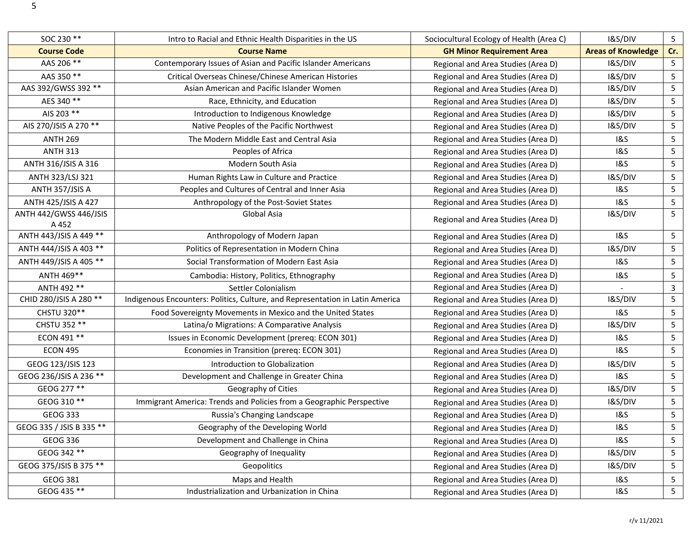| SOC 230 **                             | Intro to Racial and Ethnic Health Disparities in the US                       | Sociocultural Ecology of Health (Area C) | I&S/DIV                   | $5\phantom{.}$ |
|----------------------------------------|-------------------------------------------------------------------------------|------------------------------------------|---------------------------|----------------|
| <b>Course Code</b>                     | <b>Course Name</b>                                                            | <b>GH Minor Requirement Area</b>         | <b>Areas of Knowledge</b> | Cr.            |
| AAS 206 **                             | Contemporary Issues of Asian and Pacific Islander Americans                   | Regional and Area Studies (Area D)       | I&S/DIV                   | $5\phantom{.}$ |
| AAS 350 **                             | Critical Overseas Chinese/Chinese American Histories                          | Regional and Area Studies (Area D)       | I&S/DIV                   | 5              |
| AAS 392/GWSS 392 **                    | Asian American and Pacific Islander Women                                     | Regional and Area Studies (Area D)       | I&S/DIV                   | 5              |
| AES 340 **                             | Race, Ethnicity, and Education                                                | Regional and Area Studies (Area D)       | I&S/DIV                   | 5              |
| AIS 203 **                             | Introduction to Indigenous Knowledge                                          | Regional and Area Studies (Area D)       | I&S/DIV                   | 5              |
| AIS 270/JSIS A 270 **                  | Native Peoples of the Pacific Northwest                                       | Regional and Area Studies (Area D)       | I&S/DIV                   | 5              |
| <b>ANTH 269</b>                        | The Modern Middle East and Central Asia                                       | Regional and Area Studies (Area D)       | <b>1&amp;S</b>            | 5              |
| <b>ANTH 313</b>                        | Peoples of Africa                                                             | Regional and Area Studies (Area D)       | <b>1&amp;S</b>            | 5              |
| ANTH 316/JSIS A 316                    | Modern South Asia                                                             | Regional and Area Studies (Area D)       | <b>1&amp;S</b>            | 5              |
| ANTH 323/LSJ 321                       | Human Rights Law in Culture and Practice                                      | Regional and Area Studies (Area D)       | I&S/DIV                   | 5              |
| ANTH 357/JSIS A                        | Peoples and Cultures of Central and Inner Asia                                | Regional and Area Studies (Area D)       | 1&S                       | 5              |
| ANTH 425/JSIS A 427                    | Anthropology of the Post-Soviet States                                        | Regional and Area Studies (Area D)       | <b>1&amp;S</b>            | 5              |
| <b>ANTH 442/GWSS 446/JSIS</b><br>A 452 | Global Asia                                                                   | Regional and Area Studies (Area D)       | I&S/DIV                   | 5              |
| ANTH 443/JSIS A 449 **                 | Anthropology of Modern Japan                                                  | Regional and Area Studies (Area D)       | <b>1&amp;S</b>            | 5              |
| ANTH 444/JSIS A 403 **                 | Politics of Representation in Modern China                                    | Regional and Area Studies (Area D)       | I&S/DIV                   | 5              |
| ANTH 449/JSIS A 405 **                 | Social Transformation of Modern East Asia                                     | Regional and Area Studies (Area D)       | <b>1&amp;S</b>            | 5              |
| ANTH 469**                             | Cambodia: History, Politics, Ethnography                                      | Regional and Area Studies (Area D)       | <b>1&amp;S</b>            | 5              |
| ANTH 492 **                            | Settler Colonialism                                                           | Regional and Area Studies (Area D)       |                           | $\mathbf{3}$   |
| CHID 280/JSIS A 280 **                 | Indigenous Encounters: Politics, Culture, and Representation in Latin America | Regional and Area Studies (Area D)       | I&S/DIV                   | 5              |
| CHSTU 320**                            | Food Sovereignty Movements in Mexico and the United States                    | Regional and Area Studies (Area D)       | <b>1&amp;S</b>            | 5              |
| CHSTU 352 **                           | Latina/o Migrations: A Comparative Analysis                                   | Regional and Area Studies (Area D)       | I&S/DIV                   | 5              |
| ECON 491 **                            | Issues in Economic Development (prereq: ECON 301)                             | Regional and Area Studies (Area D)       | <b>1&amp;S</b>            | 5              |
| <b>ECON 495</b>                        | Economies in Transition (prereq: ECON 301)                                    | Regional and Area Studies (Area D)       | <b>1&amp;S</b>            | 5              |
| GEOG 123/JSIS 123                      | Introduction to Globalization                                                 | Regional and Area Studies (Area D)       | I&S/DIV                   | 5              |
| GEOG 236/JSIS A 236 **                 | Development and Challenge in Greater China                                    | Regional and Area Studies (Area D)       | <b>1&amp;S</b>            | 5              |
| GEOG 277 **                            | Geography of Cities                                                           | Regional and Area Studies (Area D)       | I&S/DIV                   | 5              |
| GEOG 310 **                            | Immigrant America: Trends and Policies from a Geographic Perspective          | Regional and Area Studies (Area D)       | I&S/DIV                   | $5\phantom{.}$ |
| GEOG 333                               | Russia's Changing Landscape                                                   | Regional and Area Studies (Area D)       | <b>1&amp;S</b>            | 5              |
| GEOG 335 / JSIS B 335 **               | Geography of the Developing World                                             | Regional and Area Studies (Area D)       | <b>1&amp;S</b>            | 5              |
| <b>GEOG 336</b>                        | Development and Challenge in China                                            | Regional and Area Studies (Area D)       | <b>1&amp;S</b>            | 5              |
| GEOG 342 **                            | Geography of Inequality                                                       | Regional and Area Studies (Area D)       | I&S/DIV                   | 5              |
| GEOG 375/JSIS B 375 **                 | Geopolitics                                                                   | Regional and Area Studies (Area D)       | I&S/DIV                   | 5              |
| GEOG 381                               | Maps and Health                                                               | Regional and Area Studies (Area D)       | 1&S                       | 5              |
| GEOG 435 **                            | Industrialization and Urbanization in China                                   | Regional and Area Studies (Area D)       | 18S                       | 5 <sub>1</sub> |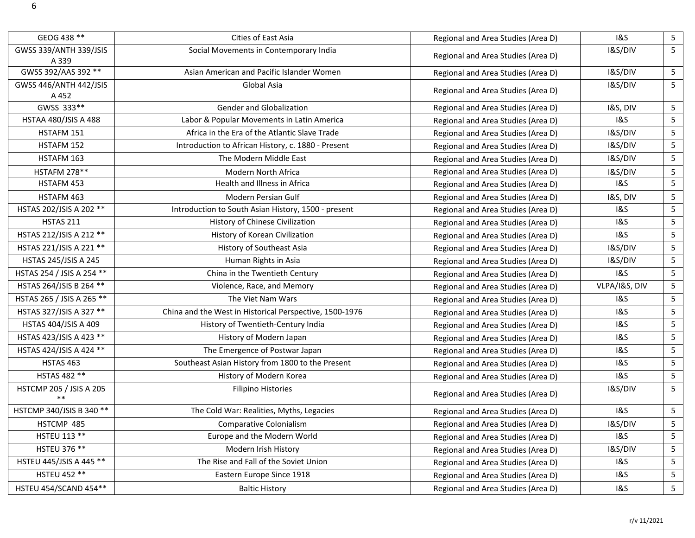| GEOG 438 **                            | Cities of East Asia                                     | Regional and Area Studies (Area D) | <b>1&amp;S</b>     | 5               |
|----------------------------------------|---------------------------------------------------------|------------------------------------|--------------------|-----------------|
| <b>GWSS 339/ANTH 339/JSIS</b><br>A 339 | Social Movements in Contemporary India                  | Regional and Area Studies (Area D) | I&S/DIV            | 5 <sup>1</sup>  |
| GWSS 392/AAS 392 **                    | Asian American and Pacific Islander Women               | Regional and Area Studies (Area D) | I&S/DIV            | 5 <sub>1</sub>  |
| <b>GWSS 446/ANTH 442/JSIS</b><br>A 452 | Global Asia                                             | Regional and Area Studies (Area D) | I&S/DIV            | 5 <sub>1</sub>  |
| GWSS 333**                             | <b>Gender and Globalization</b>                         | Regional and Area Studies (Area D) | I&S, DIV           | 5               |
| HSTAA 480/JSIS A 488                   | Labor & Popular Movements in Latin America              | Regional and Area Studies (Area D) | 18S                | $5\phantom{.0}$ |
| HSTAFM 151                             | Africa in the Era of the Atlantic Slave Trade           | Regional and Area Studies (Area D) | I&S/DIV            | 5               |
| HSTAFM 152                             | Introduction to African History, c. 1880 - Present      | Regional and Area Studies (Area D) | I&S/DIV            | 5               |
| HSTAFM 163                             | The Modern Middle East                                  | Regional and Area Studies (Area D) | I&S/DIV            | $5\phantom{.}$  |
| <b>HSTAFM 278**</b>                    | Modern North Africa                                     | Regional and Area Studies (Area D) | I&S/DIV            | 5               |
| HSTAFM 453                             | Health and Illness in Africa                            | Regional and Area Studies (Area D) | <b>1&amp;S</b>     | $5\phantom{.}$  |
| HSTAFM 463                             | Modern Persian Gulf                                     | Regional and Area Studies (Area D) | I&S, DIV           | 5               |
| HSTAS 202/JSIS A 202 **                | Introduction to South Asian History, 1500 - present     | Regional and Area Studies (Area D) | <b>1&amp;S</b>     | 5               |
| <b>HSTAS 211</b>                       | History of Chinese Civilization                         | Regional and Area Studies (Area D) | <b>1&amp;S</b>     | $\overline{5}$  |
| HSTAS 212/JSIS A 212 **                | History of Korean Civilization                          | Regional and Area Studies (Area D) | 1&S                | $5\phantom{.}$  |
| HSTAS 221/JSIS A 221 **                | History of Southeast Asia                               | Regional and Area Studies (Area D) | I&S/DIV            | 5               |
| <b>HSTAS 245/JSIS A 245</b>            | Human Rights in Asia                                    | Regional and Area Studies (Area D) | I&S/DIV            | 5               |
| HSTAS 254 / JSIS A 254 **              | China in the Twentieth Century                          | Regional and Area Studies (Area D) | <b>1&amp;S</b>     | $5\phantom{.}$  |
| HSTAS 264/JSIS B 264 **                | Violence, Race, and Memory                              | Regional and Area Studies (Area D) | VLPA/I&S, DIV      | 5               |
| HSTAS 265 / JSIS A 265 **              | The Viet Nam Wars                                       | Regional and Area Studies (Area D) | <b>1&amp;S</b>     | 5               |
| HSTAS 327/JSIS A 327 **                | China and the West in Historical Perspective, 1500-1976 | Regional and Area Studies (Area D) | <b>1&amp;S</b>     | 5               |
| HSTAS 404/JSIS A 409                   | History of Twentieth-Century India                      | Regional and Area Studies (Area D) | <b>1&amp;S</b>     | $5\phantom{.0}$ |
| HSTAS 423/JSIS A 423 **                | History of Modern Japan                                 | Regional and Area Studies (Area D) | <b>1&amp;S</b>     | $5\phantom{.0}$ |
| HSTAS 424/JSIS A 424 **                | The Emergence of Postwar Japan                          | Regional and Area Studies (Area D) | <b>1&amp;S</b>     | 5               |
| HSTAS 463                              | Southeast Asian History from 1800 to the Present        | Regional and Area Studies (Area D) | <b>1&amp;S</b>     | 5               |
| HSTAS 482 **                           | History of Modern Korea                                 | Regional and Area Studies (Area D) | <b>1&amp;S</b>     | $5\phantom{.}$  |
| HSTCMP 205 / JSIS A 205<br>$***$       | <b>Filipino Histories</b>                               | Regional and Area Studies (Area D) | I&S/DIV            | 5 <sup>5</sup>  |
| HSTCMP 340/JSIS B 340 **               | The Cold War: Realities, Myths, Legacies                | Regional and Area Studies (Area D) | <b>1&amp;S</b>     | 5               |
| HSTCMP 485                             | Comparative Colonialism                                 | Regional and Area Studies (Area D) | <b>I&amp;S/DIV</b> | 5               |
| <b>HSTEU 113 **</b>                    | Europe and the Modern World                             | Regional and Area Studies (Area D) | <b>1&amp;S</b>     | 5               |
| <b>HSTEU 376 **</b>                    | Modern Irish History                                    | Regional and Area Studies (Area D) | I&S/DIV            | 5               |
| HSTEU 445/JSIS A 445 **                | The Rise and Fall of the Soviet Union                   | Regional and Area Studies (Area D) | 1&S                | 5               |
| <b>HSTEU 452 **</b>                    | Eastern Europe Since 1918                               | Regional and Area Studies (Area D) | <b>1&amp;S</b>     | 5               |
| HSTEU 454/SCAND 454**                  | <b>Baltic History</b>                                   | Regional and Area Studies (Area D) | 18S                | 5 <sub>1</sub>  |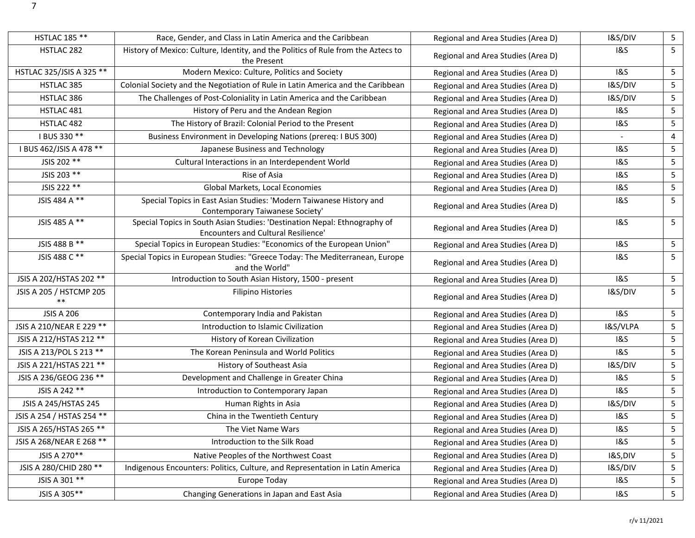| <b>HSTLAC 185 **</b>            | Race, Gender, and Class in Latin America and the Caribbean                                                              | Regional and Area Studies (Area D) | I&S/DIV        | $\overline{\mathbf{5}}$ |
|---------------------------------|-------------------------------------------------------------------------------------------------------------------------|------------------------------------|----------------|-------------------------|
| HSTLAC 282                      | History of Mexico: Culture, Identity, and the Politics of Rule from the Aztecs to<br>the Present                        | Regional and Area Studies (Area D) | 1&S            | 5                       |
| HSTLAC 325/JSIS A 325 **        | Modern Mexico: Culture, Politics and Society                                                                            | Regional and Area Studies (Area D) | <b>1&amp;S</b> | $\sqrt{5}$              |
| HSTLAC 385                      | Colonial Society and the Negotiation of Rule in Latin America and the Caribbean                                         | Regional and Area Studies (Area D) | I&S/DIV        | $\mathsf S$             |
| HSTLAC 386                      | The Challenges of Post-Coloniality in Latin America and the Caribbean                                                   | Regional and Area Studies (Area D) | I&S/DIV        | $\overline{5}$          |
| HSTLAC 481                      | History of Peru and the Andean Region                                                                                   | Regional and Area Studies (Area D) | <b>1&amp;S</b> | $\overline{\mathbf{5}}$ |
| HSTLAC 482                      | The History of Brazil: Colonial Period to the Present                                                                   | Regional and Area Studies (Area D) | 1&S            | $\sqrt{5}$              |
| I BUS 330 **                    | Business Environment in Developing Nations (prereq: I BUS 300)                                                          | Regional and Area Studies (Area D) | $\blacksquare$ | $\pmb{4}$               |
| I BUS 462/JSIS A 478 **         | Japanese Business and Technology                                                                                        | Regional and Area Studies (Area D) | <b>1&amp;S</b> | $\overline{\mathbf{5}}$ |
| JSIS 202 **                     | Cultural Interactions in an Interdependent World                                                                        | Regional and Area Studies (Area D) | <b>1&amp;S</b> | $\sqrt{5}$              |
| JSIS 203 **                     | Rise of Asia                                                                                                            | Regional and Area Studies (Area D) | <b>1&amp;S</b> | $\mathsf S$             |
| JSIS 222 **                     | Global Markets, Local Economies                                                                                         | Regional and Area Studies (Area D) | 1&S            | $\overline{\mathbf{5}}$ |
| JSIS 484 A **                   | Special Topics in East Asian Studies: 'Modern Taiwanese History and<br>Contemporary Taiwanese Society'                  | Regional and Area Studies (Area D) | <b>1&amp;S</b> | 5                       |
| JSIS 485 A **                   | Special Topics in South Asian Studies: 'Destination Nepal: Ethnography of<br><b>Encounters and Cultural Resilience'</b> | Regional and Area Studies (Area D) | <b>1&amp;S</b> | 5                       |
| JSIS 488 B **                   | Special Topics in European Studies: "Economics of the European Union"                                                   | Regional and Area Studies (Area D) | <b>1&amp;S</b> | 5                       |
| JSIS 488 C **                   | Special Topics in European Studies: "Greece Today: The Mediterranean, Europe<br>and the World"                          | Regional and Area Studies (Area D) | <b>1&amp;S</b> | 5                       |
| JSIS A 202/HSTAS 202 **         | Introduction to South Asian History, 1500 - present                                                                     | Regional and Area Studies (Area D) | <b>1&amp;S</b> | 5                       |
| JSIS A 205 / HSTCMP 205<br>$**$ | <b>Filipino Histories</b>                                                                                               | Regional and Area Studies (Area D) | I&S/DIV        | 5                       |
| <b>JSIS A 206</b>               | Contemporary India and Pakistan                                                                                         | Regional and Area Studies (Area D) | <b>1&amp;S</b> | $\sqrt{5}$              |
| JSIS A 210/NEAR E 229 **        | Introduction to Islamic Civilization                                                                                    | Regional and Area Studies (Area D) | I&S/VLPA       | 5                       |
| JSIS A 212/HSTAS 212 **         | History of Korean Civilization                                                                                          | Regional and Area Studies (Area D) | 1&S            | $\sqrt{5}$              |
| JSIS A 213/POL S 213 **         | The Korean Peninsula and World Politics                                                                                 | Regional and Area Studies (Area D) | <b>1&amp;S</b> | 5                       |
| JSIS A 221/HSTAS 221 **         | History of Southeast Asia                                                                                               | Regional and Area Studies (Area D) | I&S/DIV        | $\sqrt{5}$              |
| JSIS A 236/GEOG 236 **          | Development and Challenge in Greater China                                                                              | Regional and Area Studies (Area D) | <b>1&amp;S</b> | 5                       |
| JSIS A 242 **                   | Introduction to Contemporary Japan                                                                                      | Regional and Area Studies (Area D) | <b>1&amp;S</b> | $\overline{\mathbf{5}}$ |
| JSIS A 245/HSTAS 245            | Human Rights in Asia                                                                                                    | Regional and Area Studies (Area D) | I&S/DIV        | $\mathsf S$             |
| JSIS A 254 / HSTAS 254 **       | China in the Twentieth Century                                                                                          | Regional and Area Studies (Area D) | <b>1&amp;S</b> | 5                       |
| JSIS A 265/HSTAS 265 **         | The Viet Name Wars                                                                                                      | Regional and Area Studies (Area D) | <b>1&amp;S</b> | 5                       |
| JSIS A 268/NEAR E 268 **        | Introduction to the Silk Road                                                                                           | Regional and Area Studies (Area D) | <b>1&amp;S</b> | 5                       |
| JSIS A 270**                    | Native Peoples of the Northwest Coast                                                                                   | Regional and Area Studies (Area D) | I&S,DIV        | 5                       |
| JSIS A 280/CHID 280 **          | Indigenous Encounters: Politics, Culture, and Representation in Latin America                                           | Regional and Area Studies (Area D) | I&S/DIV        | 5                       |
| JSIS A 301 **                   | Europe Today                                                                                                            | Regional and Area Studies (Area D) | <b>1&amp;S</b> | 5                       |
| JSIS A 305**                    | Changing Generations in Japan and East Asia                                                                             | Regional and Area Studies (Area D) | <b>1&amp;S</b> | 5 <sub>1</sub>          |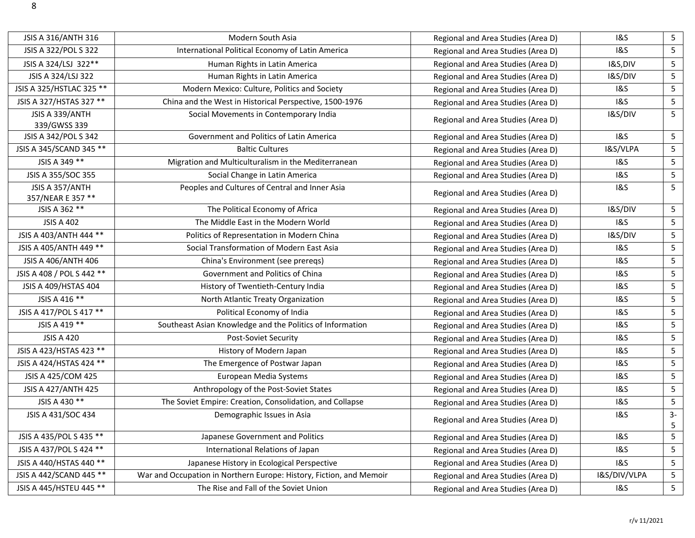| JSIS A 316/ANTH 316                  | Modern South Asia                                                   | Regional and Area Studies (Area D) | <b>1&amp;S</b> | 5                       |
|--------------------------------------|---------------------------------------------------------------------|------------------------------------|----------------|-------------------------|
| JSIS A 322/POL S 322                 | International Political Economy of Latin America                    | Regional and Area Studies (Area D) | <b>1&amp;S</b> | $\mathsf S$             |
| JSIS A 324/LSJ 322**                 | Human Rights in Latin America                                       | Regional and Area Studies (Area D) | I&S,DIV        | $\mathsf S$             |
| JSIS A 324/LSJ 322                   | Human Rights in Latin America                                       | Regional and Area Studies (Area D) | I&S/DIV        | $\mathsf S$             |
| JSIS A 325/HSTLAC 325 **             | Modern Mexico: Culture, Politics and Society                        | Regional and Area Studies (Area D) | <b>1&amp;S</b> | 5                       |
| JSIS A 327/HSTAS 327 **              | China and the West in Historical Perspective, 1500-1976             | Regional and Area Studies (Area D) | <b>1&amp;S</b> | 5                       |
| JSIS A 339/ANTH<br>339/GWSS 339      | Social Movements in Contemporary India                              | Regional and Area Studies (Area D) | I&S/DIV        | 5                       |
| JSIS A 342/POL S 342                 | Government and Politics of Latin America                            | Regional and Area Studies (Area D) | <b>1&amp;S</b> | 5                       |
| JSIS A 345/SCAND 345 **              | <b>Baltic Cultures</b>                                              | Regional and Area Studies (Area D) | I&S/VLPA       | $\sqrt{5}$              |
| JSIS A 349 **                        | Migration and Multiculturalism in the Mediterranean                 | Regional and Area Studies (Area D) | <b>1&amp;S</b> | $\sqrt{5}$              |
| JSIS A 355/SOC 355                   | Social Change in Latin America                                      | Regional and Area Studies (Area D) | <b>1&amp;S</b> | $\mathsf S$             |
| JSIS A 357/ANTH<br>357/NEAR E 357 ** | Peoples and Cultures of Central and Inner Asia                      | Regional and Area Studies (Area D) | 1&S            | 5                       |
| JSIS A 362 **                        | The Political Economy of Africa                                     | Regional and Area Studies (Area D) | I&S/DIV        | 5                       |
| <b>JSIS A 402</b>                    | The Middle East in the Modern World                                 | Regional and Area Studies (Area D) | <b>1&amp;S</b> | $\sqrt{5}$              |
| JSIS A 403/ANTH 444 **               | Politics of Representation in Modern China                          | Regional and Area Studies (Area D) | I&S/DIV        | 5                       |
| JSIS A 405/ANTH 449 **               | Social Transformation of Modern East Asia                           | Regional and Area Studies (Area D) | <b>1&amp;S</b> | $\overline{\mathbf{5}}$ |
| JSIS A 406/ANTH 406                  | China's Environment (see preregs)                                   | Regional and Area Studies (Area D) | <b>1&amp;S</b> | $\sqrt{5}$              |
| JSIS A 408 / POL S 442 **            | Government and Politics of China                                    | Regional and Area Studies (Area D) | <b>1&amp;S</b> | $\mathsf S$             |
| JSIS A 409/HSTAS 404                 | History of Twentieth-Century India                                  | Regional and Area Studies (Area D) | <b>1&amp;S</b> | $\overline{5}$          |
| JSIS A 416 **                        | North Atlantic Treaty Organization                                  | Regional and Area Studies (Area D) | <b>1&amp;S</b> | $\sqrt{5}$              |
| JSIS A 417/POL S 417 **              | Political Economy of India                                          | Regional and Area Studies (Area D) | <b>1&amp;S</b> | $\sqrt{5}$              |
| JSIS A 419 **                        | Southeast Asian Knowledge and the Politics of Information           | Regional and Area Studies (Area D) | <b>1&amp;S</b> | $\mathsf S$             |
| <b>JSIS A 420</b>                    | Post-Soviet Security                                                | Regional and Area Studies (Area D) | <b>1&amp;S</b> | $\overline{\mathbf{5}}$ |
| JSIS A 423/HSTAS 423 **              | History of Modern Japan                                             | Regional and Area Studies (Area D) | <b>1&amp;S</b> | $\overline{5}$          |
| JSIS A 424/HSTAS 424 **              | The Emergence of Postwar Japan                                      | Regional and Area Studies (Area D) | <b>1&amp;S</b> | $\mathsf S$             |
| JSIS A 425/COM 425                   | European Media Systems                                              | Regional and Area Studies (Area D) | <b>1&amp;S</b> | $\sqrt{5}$              |
| <b>JSIS A 427/ANTH 425</b>           | Anthropology of the Post-Soviet States                              | Regional and Area Studies (Area D) | <b>1&amp;S</b> | 5                       |
| JSIS A 430 **                        | The Soviet Empire: Creation, Consolidation, and Collapse            | Regional and Area Studies (Area D) | <b>1&amp;S</b> | $\mathsf S$             |
| JSIS A 431/SOC 434                   | Demographic Issues in Asia                                          | Regional and Area Studies (Area D) | <b>1&amp;S</b> | $3-$<br>5               |
| JSIS A 435/POL S 435 **              | Japanese Government and Politics                                    | Regional and Area Studies (Area D) | <b>1&amp;S</b> | 5                       |
| JSIS A 437/POL S 424 **              | International Relations of Japan                                    | Regional and Area Studies (Area D) | <b>1&amp;S</b> | 5                       |
| JSIS A 440/HSTAS 440 **              | Japanese History in Ecological Perspective                          | Regional and Area Studies (Area D) | <b>1&amp;S</b> | 5                       |
| JSIS A 442/SCAND 445 **              | War and Occupation in Northern Europe: History, Fiction, and Memoir | Regional and Area Studies (Area D) | I&S/DIV/VLPA   | 5                       |
| JSIS A 445/HSTEU 445 **              | The Rise and Fall of the Soviet Union                               | Regional and Area Studies (Area D) | <b>1&amp;S</b> | 5 <sub>1</sub>          |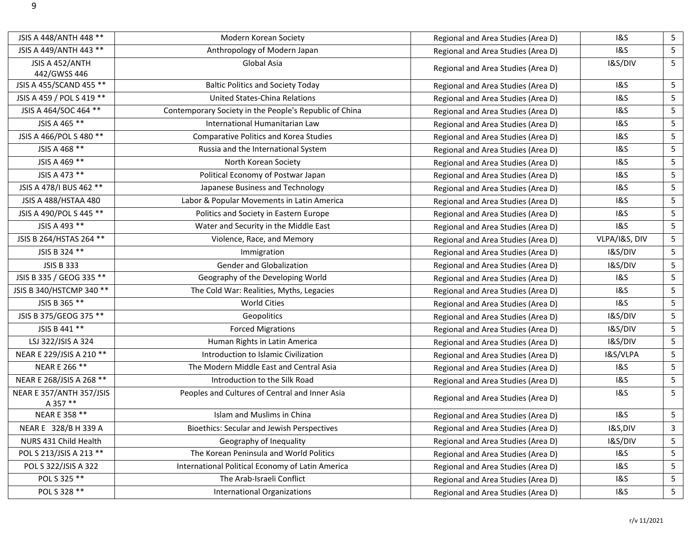| JSIS A 448/ANTH 448 **               | Modern Korean Society                                  | Regional and Area Studies (Area D) | <b>1&amp;S</b> | 5 <sub>1</sub>  |
|--------------------------------------|--------------------------------------------------------|------------------------------------|----------------|-----------------|
| JSIS A 449/ANTH 443 **               | Anthropology of Modern Japan                           | Regional and Area Studies (Area D) | <b>1&amp;S</b> | 5 <sub>1</sub>  |
| JSIS A 452/ANTH<br>442/GWSS 446      | Global Asia                                            | Regional and Area Studies (Area D) | I&S/DIV        | 5               |
| JSIS A 455/SCAND 455 **              | <b>Baltic Politics and Society Today</b>               | Regional and Area Studies (Area D) | <b>1&amp;S</b> | 5 <sub>1</sub>  |
| JSIS A 459 / POL S 419 **            | <b>United States-China Relations</b>                   | Regional and Area Studies (Area D) | <b>1&amp;S</b> | 5 <sub>1</sub>  |
| JSIS A 464/SOC 464 **                | Contemporary Society in the People's Republic of China | Regional and Area Studies (Area D) | <b>1&amp;S</b> | 5               |
| JSIS A 465 **                        | International Humanitarian Law                         | Regional and Area Studies (Area D) | <b>1&amp;S</b> | $5\phantom{.}$  |
| JSIS A 466/POL S 480 **              | <b>Comparative Politics and Korea Studies</b>          | Regional and Area Studies (Area D) | <b>1&amp;S</b> | 5               |
| JSIS A 468 **                        | Russia and the International System                    | Regional and Area Studies (Area D) | <b>1&amp;S</b> | $5\phantom{.0}$ |
| JSIS A 469 **                        | North Korean Society                                   | Regional and Area Studies (Area D) | <b>1&amp;S</b> | 5 <sub>1</sub>  |
| JSIS A 473 **                        | Political Economy of Postwar Japan                     | Regional and Area Studies (Area D) | <b>1&amp;S</b> | 5 <sub>1</sub>  |
| JSIS A 478/I BUS 462 **              | Japanese Business and Technology                       | Regional and Area Studies (Area D) | <b>1&amp;S</b> | 5 <sub>1</sub>  |
| JSIS A 488/HSTAA 480                 | Labor & Popular Movements in Latin America             | Regional and Area Studies (Area D) | <b>1&amp;S</b> | $5\phantom{.}$  |
| JSIS A 490/POL S 445 **              | Politics and Society in Eastern Europe                 | Regional and Area Studies (Area D) | <b>1&amp;S</b> | 5               |
| JSIS A 493 **                        | Water and Security in the Middle East                  | Regional and Area Studies (Area D) | <b>1&amp;S</b> | 5               |
| JSIS B 264/HSTAS 264 **              | Violence, Race, and Memory                             | Regional and Area Studies (Area D) | VLPA/I&S, DIV  | 5               |
| JSIS B 324 **                        | Immigration                                            | Regional and Area Studies (Area D) | I&S/DIV        | 5 <sub>1</sub>  |
| <b>JSIS B 333</b>                    | <b>Gender and Globalization</b>                        | Regional and Area Studies (Area D) | I&S/DIV        | 5 <sub>1</sub>  |
| JSIS B 335 / GEOG 335 **             | Geography of the Developing World                      | Regional and Area Studies (Area D) | <b>1&amp;S</b> | 5 <sub>1</sub>  |
| JSIS B 340/HSTCMP 340 **             | The Cold War: Realities, Myths, Legacies               | Regional and Area Studies (Area D) | <b>1&amp;S</b> | 5               |
| JSIS B 365 **                        | <b>World Cities</b>                                    | Regional and Area Studies (Area D) | <b>1&amp;S</b> | $5\phantom{.}$  |
| JSIS B 375/GEOG 375 **               | Geopolitics                                            | Regional and Area Studies (Area D) | I&S/DIV        | 5               |
| JSIS B 441 **                        | <b>Forced Migrations</b>                               | Regional and Area Studies (Area D) | I&S/DIV        | 5               |
| LSJ 322/JSIS A 324                   | Human Rights in Latin America                          | Regional and Area Studies (Area D) | I&S/DIV        | $5\phantom{.}$  |
| NEAR E 229/JSIS A 210 **             | Introduction to Islamic Civilization                   | Regional and Area Studies (Area D) | I&S/VLPA       | 5 <sub>1</sub>  |
| NEAR E 266 **                        | The Modern Middle East and Central Asia                | Regional and Area Studies (Area D) | <b>1&amp;S</b> | 5 <sub>1</sub>  |
| NEAR E 268/JSIS A 268 **             | Introduction to the Silk Road                          | Regional and Area Studies (Area D) | <b>1&amp;S</b> | $5\phantom{.0}$ |
| NEAR E 357/ANTH 357/JSIS<br>A 357 ** | Peoples and Cultures of Central and Inner Asia         | Regional and Area Studies (Area D) | <b>1&amp;S</b> | 5 <sup>1</sup>  |
| NEAR E 358 **                        | Islam and Muslims in China                             | Regional and Area Studies (Area D) | <b>1&amp;S</b> | 5 <sub>1</sub>  |
| NEAR E 328/B H 339 A                 | <b>Bioethics: Secular and Jewish Perspectives</b>      | Regional and Area Studies (Area D) | I&S,DIV        | $\mathbf{3}$    |
| NURS 431 Child Health                | Geography of Inequality                                | Regional and Area Studies (Area D) | I&S/DIV        | 5 <sub>1</sub>  |
| POL S 213/JSIS A 213 **              | The Korean Peninsula and World Politics                | Regional and Area Studies (Area D) | <b>1&amp;S</b> | 5               |
| POL S 322/JSIS A 322                 | International Political Economy of Latin America       | Regional and Area Studies (Area D) | <b>1&amp;S</b> | 5               |
| POL S 325 **                         | The Arab-Israeli Conflict                              | Regional and Area Studies (Area D) | <b>1&amp;S</b> | 5 <sub>1</sub>  |
| POL S 328 **                         | <b>International Organizations</b>                     | Regional and Area Studies (Area D) | <b>1&amp;S</b> | 5 <sub>5</sub>  |